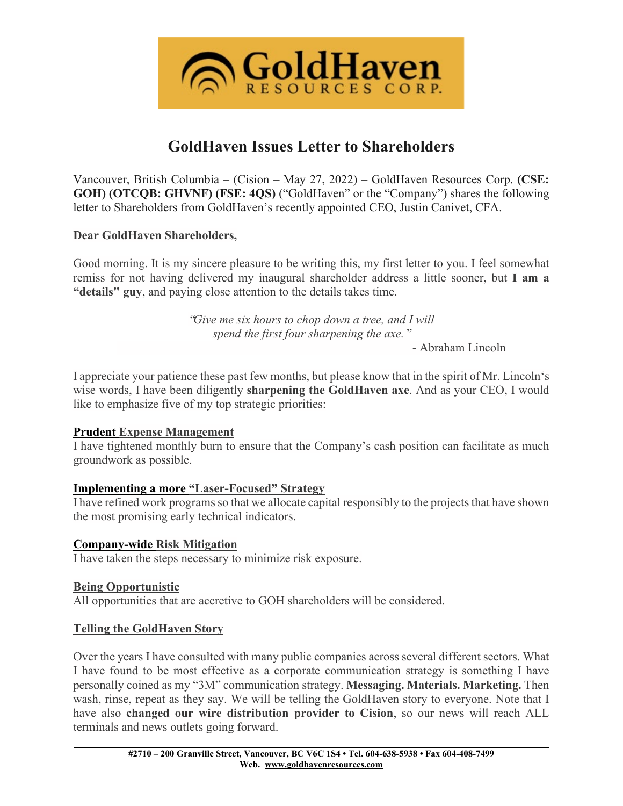

# **GoldHaven Issues Letter to Shareholders**

Vancouver, British Columbia – (Cision – May 27, 2022) – GoldHaven Resources Corp. **(CSE: GOH) (OTCQB: GHVNF) (FSE: 4QS)** ("GoldHaven" or the "Company") shares the following letter to Shareholders from GoldHaven's recently appointed CEO, Justin Canivet, CFA.

### **Dear GoldHaven Shareholders,**

Good morning. It is my sincere pleasure to be writing this, my first letter to you. I feel somewhat remiss for not having delivered my inaugural shareholder address a little sooner, but **I am a "details" guy**, and paying close attention to the details takes time.

> "*Give me six hours to chop down a tree, and I will spend the first four sharpening the axe.*"

- Abraham Lincoln

I appreciate your patience these past few months, but please know that in the spirit of Mr. Lincoln's wise words, I have been diligently **sharpening the GoldHaven axe**. And as your CEO, I would like to emphasize five of my top strategic priorities:

## **Prudent Expense Management**

I have tightened monthly burn to ensure that the Company's cash position can facilitate as much groundwork as possible.

#### **Implementing a more "Laser-Focused" Strategy**

I have refined work programs so that we allocate capital responsibly to the projects that have shown the most promising early technical indicators.

#### **Company-wide Risk Mitigation**

I have taken the steps necessary to minimize risk exposure.

#### **Being Opportunistic**

All opportunities that are accretive to GOH shareholders will be considered.

## **Telling the GoldHaven Story**

Over the years I have consulted with many public companies across several different sectors. What I have found to be most effective as a corporate communication strategy is something I have personally coined as my "3M" communication strategy. **Messaging. Materials. Marketing.** Then wash, rinse, repeat as they say. We will be telling the GoldHaven story to everyone. Note that I have also **changed our wire distribution provider to Cision**, so our news will reach ALL terminals and news outlets going forward.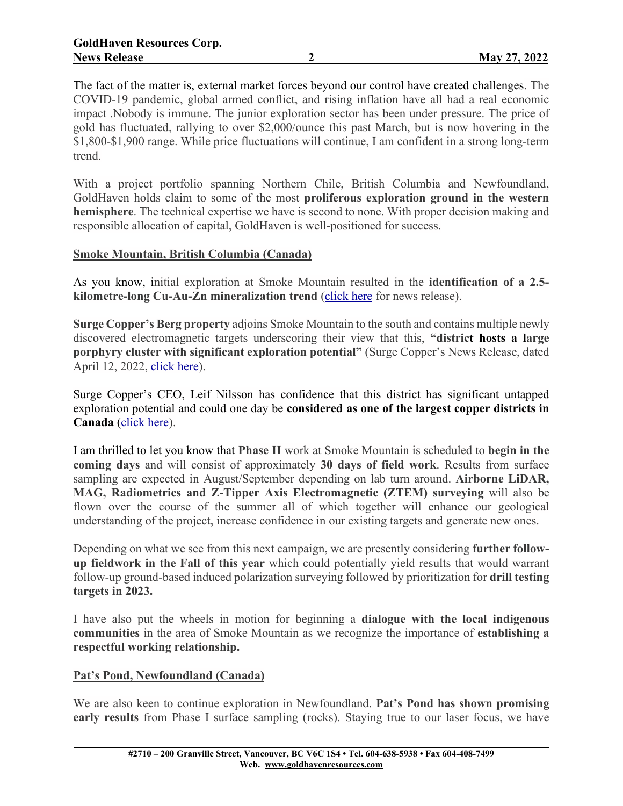The fact of the matter is, external market forces beyond our control have created challenges. The COVID-19 pandemic, global armed conflict, and rising inflation have all had a real economic impact .Nobody is immune. The junior exploration sector has been under pressure. The price of gold has fluctuated, rallying to over \$2,000/ounce this past March, but is now hovering in the \$1,800-\$1,900 range. While price fluctuations will continue, I am confident in a strong long-term trend.

With a project portfolio spanning Northern Chile, British Columbia and Newfoundland, GoldHaven holds claim to some of the most **proliferous exploration ground in the western hemisphere**. The technical expertise we have is second to none. With proper decision making and responsible allocation of capital, GoldHaven is well-positioned for success.

## **Smoke Mountain, British Columbia (Canada)**

As you know, initial exploration at Smoke Mountain resulted in the **identification of a 2.5 kilometre-long Cu-Au-Zn mineralization trend** [\(click](https://goldhavenresources.com/site/assets/files/5618/goh-nr-18_jan21-smokemtn.pdf) here for news release).

**Surge Copper's Berg property** adjoins Smoke Mountain to the south and contains multiple newly discovered electromagnetic targets underscoring their view that this, **"district hosts a large porphyry cluster with significant exploration potential"** (Surge Copper's News Release, dated April 12, 2022, click [here\)](https://surgecopper.com/news-releases/surge-copper-identifies-multiple-new-em-targets-in-district-scale-geophysical-survey/).

Surge Copper's CEO, Leif Nilsson has confidence that this district has significant untapped exploration potential and could one day be **considered as one of the largest copper districts in Canada** [\(click](https://surgecopper.com/news-releases/surge-copper-identifies-multiple-new-em-targets-in-district-scale-geophysical-survey/) here).

I am thrilled to let you know that **Phase II** work at Smoke Mountain is scheduled to **begin in the coming days** and will consist of approximately **30 days of field work**. Results from surface sampling are expected in August/September depending on lab turn around. **Airborne LiDAR, MAG, Radiometrics and Z-Tipper Axis Electromagnetic (ZTEM) surveying** will also be flown over the course of the summer all of which together will enhance our geological understanding of the project, increase confidence in our existing targets and generate new ones.

Depending on what we see from this next campaign, we are presently considering **further followup fieldwork in the Fall of this year** which could potentially yield results that would warrant follow-up ground-based induced polarization surveying followed by prioritization for **drill testing targets in 2023.**

I have also put the wheels in motion for beginning a **dialogue with the local indigenous communities** in the area of Smoke Mountain as we recognize the importance of **establishing a respectful working relationship.**

#### **Pat's Pond, Newfoundland (Canada)**

We are also keen to continue exploration in Newfoundland. **Pat's Pond has shown promising early results** from Phase I surface sampling (rocks). Staying true to our laser focus, we have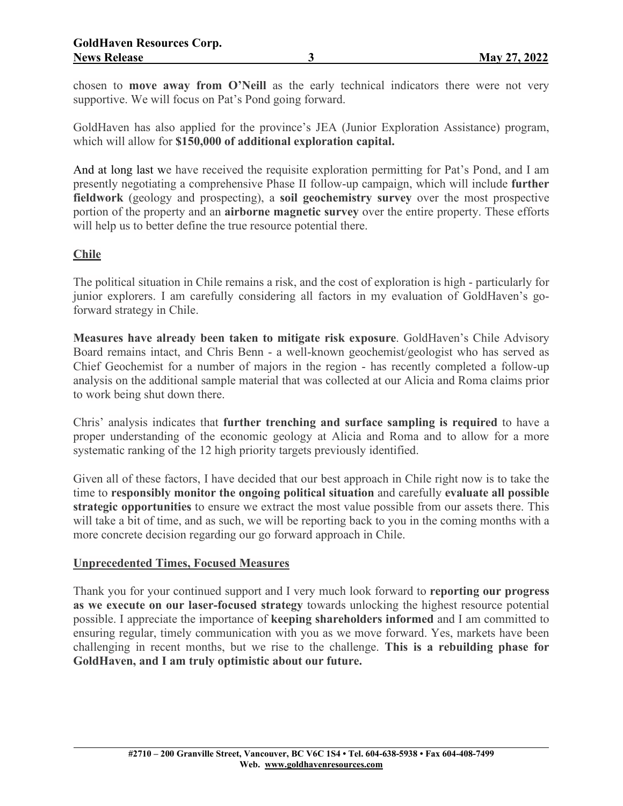chosen to **move away from O'Neill** as the early technical indicators there were not very supportive. We will focus on Pat's Pond going forward.

GoldHaven has also applied for the province's JEA (Junior Exploration Assistance) program, which will allow for **\$150,000 of additional exploration capital.**

And at long last we have received the requisite exploration permitting for Pat's Pond, and I am presently negotiating a comprehensive Phase II follow-up campaign, which will include **further fieldwork** (geology and prospecting), a **soil geochemistry survey** over the most prospective portion of the property and an **airborne magnetic survey** over the entire property. These efforts will help us to better define the true resource potential there.

## **Chile**

The political situation in Chile remains a risk, and the cost of exploration is high - particularly for junior explorers. I am carefully considering all factors in my evaluation of GoldHaven's goforward strategy in Chile.

**Measures have already been taken to mitigate risk exposure**. GoldHaven's Chile Advisory Board remains intact, and Chris Benn - a well-known geochemist/geologist who has served as Chief Geochemist for a number of majors in the region - has recently completed a follow-up analysis on the additional sample material that was collected at our Alicia and Roma claims prior to work being shut down there.

Chris' analysis indicates that **further trenching and surface sampling is required** to have a proper understanding of the economic geology at Alicia and Roma and to allow for a more systematic ranking of the 12 high priority targets previously identified.

Given all of these factors, I have decided that our best approach in Chile right now is to take the time to **responsibly monitor the ongoing political situation** and carefully **evaluate all possible strategic opportunities** to ensure we extract the most value possible from our assets there. This will take a bit of time, and as such, we will be reporting back to you in the coming months with a more concrete decision regarding our go forward approach in Chile.

## **Unprecedented Times, Focused Measures**

Thank you for your continued support and I very much look forward to **reporting our progress as we execute on our laser-focused strategy** towards unlocking the highest resource potential possible. I appreciate the importance of **keeping shareholders informed** and I am committed to ensuring regular, timely communication with you as we move forward. Yes, markets have been challenging in recent months, but we rise to the challenge. **This is a rebuilding phase for GoldHaven, and I am truly optimistic about our future.**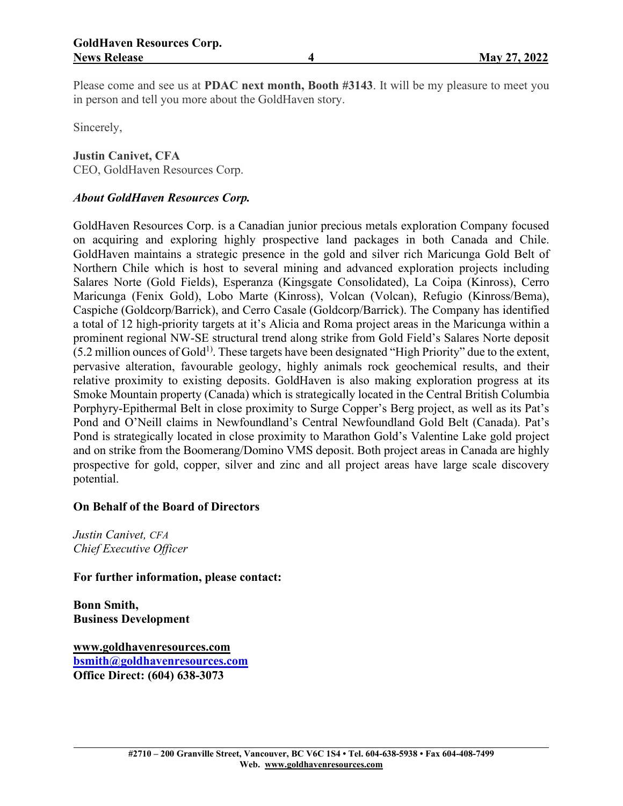Please come and see us at **PDAC next month, Booth #3143**. It will be my pleasure to meet you in person and tell you more about the GoldHaven story.

Sincerely,

**Justin Canivet, CFA**

CEO, GoldHaven Resources Corp.

## *About GoldHaven Resources Corp.*

GoldHaven Resources Corp. is a Canadian junior precious metals exploration Company focused on acquiring and exploring highly prospective land packages in both Canada and Chile. GoldHaven maintains a strategic presence in the gold and silver rich Maricunga Gold Belt of Northern Chile which is host to several mining and advanced exploration projects including Salares Norte (Gold Fields), Esperanza (Kingsgate Consolidated), La Coipa (Kinross), Cerro Maricunga (Fenix Gold), Lobo Marte (Kinross), Volcan (Volcan), Refugio (Kinross/Bema), Caspiche (Goldcorp/Barrick), and Cerro Casale (Goldcorp/Barrick). The Company has identified a total of 12 high-priority targets at it's Alicia and Roma project areas in the Maricunga within a prominent regional NW-SE structural trend along strike from Gold Field's Salares Norte deposit  $(5.2 \text{ million ounces of Gold}^{1})$ . These targets have been designated "High Priority" due to the extent, pervasive alteration, favourable geology, highly animals rock geochemical results, and their relative proximity to existing deposits. GoldHaven is also making exploration progress at its Smoke Mountain property (Canada) which is strategically located in the Central British Columbia Porphyry-Epithermal Belt in close proximity to Surge Copper's Berg project, as well as its Pat's Pond and O'Neill claims in Newfoundland's Central Newfoundland Gold Belt (Canada). Pat's Pond is strategically located in close proximity to Marathon Gold's Valentine Lake gold project and on strike from the Boomerang/Domino VMS deposit. Both project areas in Canada are highly prospective for gold, copper, silver and zinc and all project areas have large scale discovery potential.

#### **On Behalf of the Board of Directors**

*Justin Canivet, CFA Chief Executive Officer*

**For further information, please contact:**

**Bonn Smith, Business Development**

**[www.goldhavenresources.com](http://www.goldhavenresources.com/) [bsmith@goldhavenresources.com](mailto:bsmith@goldhavenresources.com) Office Direct: (604) 638-3073**